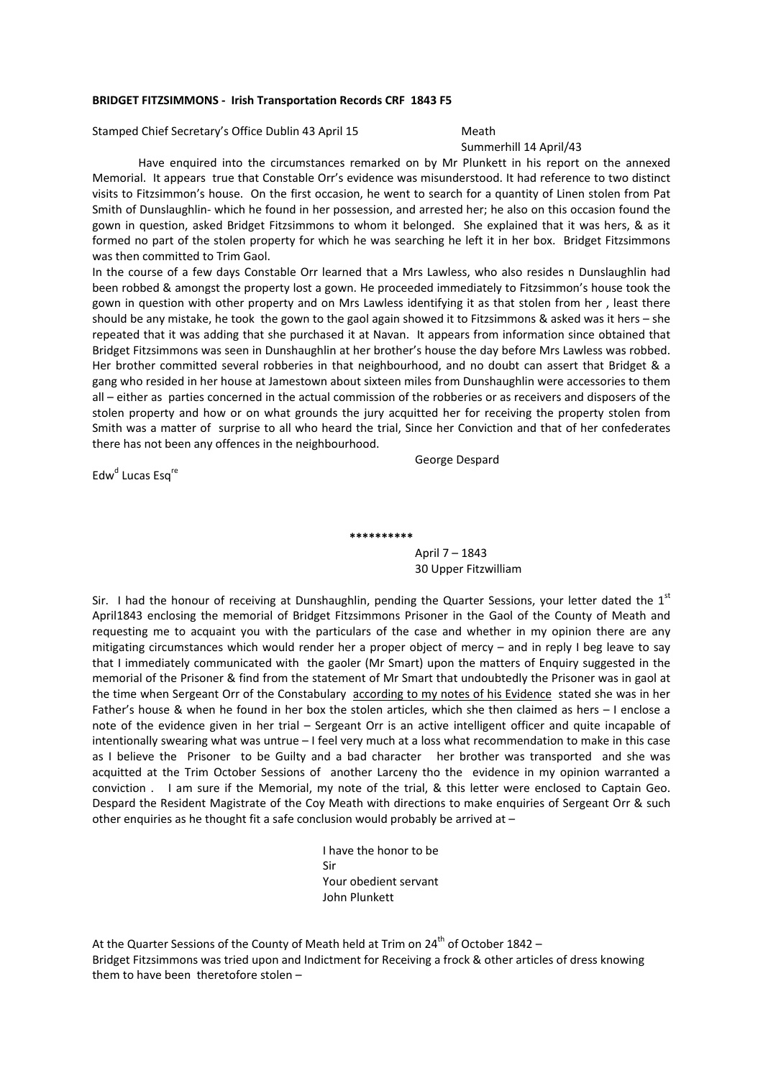## **BRIDGET FITZSIMMONS ‐ Irish Transportation Records CRF 1843 F5**

Stamped Chief Secretary's Office Dublin 43 April 15 Meath

Summerhill 14 April/43

Have enquired into the circumstances remarked on by Mr Plunkett in his report on the annexed Memorial. It appears true that Constable Orr's evidence was misunderstood. It had reference to two distinct visits to Fitzsimmon's house. On the first occasion, he went to search for a quantity of Linen stolen from Pat Smith of Dunslaughlin‐ which he found in her possession, and arrested her; he also on this occasion found the gown in question, asked Bridget Fitzsimmons to whom it belonged. She explained that it was hers, & as it formed no part of the stolen property for which he was searching he left it in her box. Bridget Fitzsimmons was then committed to Trim Gaol.

In the course of a few days Constable Orr learned that a Mrs Lawless, who also resides n Dunslaughlin had been robbed & amongst the property lost a gown. He proceeded immediately to Fitzsimmon's house took the gown in question with other property and on Mrs Lawless identifying it as that stolen from her , least there should be any mistake, he took the gown to the gaol again showed it to Fitzsimmons & asked was it hers – she repeated that it was adding that she purchased it at Navan. It appears from information since obtained that Bridget Fitzsimmons was seen in Dunshaughlin at her brother's house the day before Mrs Lawless was robbed. Her brother committed several robberies in that neighbourhood, and no doubt can assert that Bridget & a gang who resided in her house at Jamestown about sixteen miles from Dunshaughlin were accessories to them all – either as parties concerned in the actual commission of the robberies or as receivers and disposers of the stolen property and how or on what grounds the jury acquitted her for receiving the property stolen from Smith was a matter of surprise to all who heard the trial, Since her Conviction and that of her confederates there has not been any offences in the neighbourhood.

**\*\*\*\*\*\*\*\*\*\***

George Despard

Edw<sup>d</sup> Lucas Esq<sup>re</sup>

 April 7 – 1843 30 Upper Fitzwilliam

Sir. I had the honour of receiving at Dunshaughlin, pending the Quarter Sessions, your letter dated the  $1<sup>st</sup>$ April1843 enclosing the memorial of Bridget Fitzsimmons Prisoner in the Gaol of the County of Meath and requesting me to acquaint you with the particulars of the case and whether in my opinion there are any mitigating circumstances which would render her a proper object of mercy – and in reply I beg leave to say that I immediately communicated with the gaoler (Mr Smart) upon the matters of Enquiry suggested in the memorial of the Prisoner & find from the statement of Mr Smart that undoubtedly the Prisoner was in gaol at the time when Sergeant Orr of the Constabulary according to my notes of his Evidence stated she was in her Father's house & when he found in her box the stolen articles, which she then claimed as hers – I enclose a note of the evidence given in her trial – Sergeant Orr is an active intelligent officer and quite incapable of intentionally swearing what was untrue – I feel very much at a loss what recommendation to make in this case as I believe the Prisoner to be Guilty and a bad character her brother was transported and she was acquitted at the Trim October Sessions of another Larceny tho the evidence in my opinion warranted a conviction . I am sure if the Memorial, my note of the trial, & this letter were enclosed to Captain Geo. Despard the Resident Magistrate of the Coy Meath with directions to make enquiries of Sergeant Orr & such other enquiries as he thought fit a safe conclusion would probably be arrived at –

 I have the honor to be Sir Your obedient servant John Plunkett

At the Quarter Sessions of the County of Meath held at Trim on  $24^{th}$  of October 1842 – Bridget Fitzsimmons was tried upon and Indictment for Receiving a frock & other articles of dress knowing them to have been theretofore stolen –